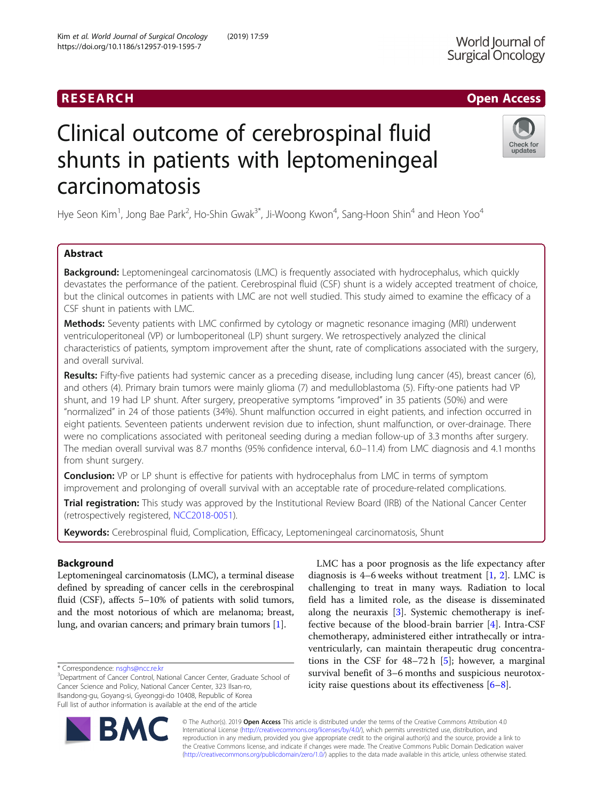# RESEARCH **RESEARCH CHANNEL CONTROL**

# Clinical outcome of cerebrospinal fluid shunts in patients with leptomeningeal carcinomatosis

Hye Seon Kim<sup>1</sup>, Jong Bae Park<sup>2</sup>, Ho-Shin Gwak<sup>3\*</sup>, Ji-Woong Kwon<sup>4</sup>, Sang-Hoon Shin<sup>4</sup> and Heon Yoo<sup>4</sup>

# Abstract

**Background:** Leptomeningeal carcinomatosis (LMC) is frequently associated with hydrocephalus, which quickly devastates the performance of the patient. Cerebrospinal fluid (CSF) shunt is a widely accepted treatment of choice, but the clinical outcomes in patients with LMC are not well studied. This study aimed to examine the efficacy of a CSF shunt in patients with LMC.

Methods: Seventy patients with LMC confirmed by cytology or magnetic resonance imaging (MRI) underwent ventriculoperitoneal (VP) or lumboperitoneal (LP) shunt surgery. We retrospectively analyzed the clinical characteristics of patients, symptom improvement after the shunt, rate of complications associated with the surgery, and overall survival.

Results: Fifty-five patients had systemic cancer as a preceding disease, including lung cancer (45), breast cancer (6), and others (4). Primary brain tumors were mainly glioma (7) and medulloblastoma (5). Fifty-one patients had VP shunt, and 19 had LP shunt. After surgery, preoperative symptoms "improved" in 35 patients (50%) and were "normalized" in 24 of those patients (34%). Shunt malfunction occurred in eight patients, and infection occurred in eight patients. Seventeen patients underwent revision due to infection, shunt malfunction, or over-drainage. There were no complications associated with peritoneal seeding during a median follow-up of 3.3 months after surgery. The median overall survival was 8.7 months (95% confidence interval, 6.0–11.4) from LMC diagnosis and 4.1 months from shunt surgery.

**Conclusion:** VP or LP shunt is effective for patients with hydrocephalus from LMC in terms of symptom improvement and prolonging of overall survival with an acceptable rate of procedure-related complications.

Trial registration: This study was approved by the Institutional Review Board (IRB) of the National Cancer Center (retrospectively registered, [NCC2018-0051](http://eirb.ncc.re.kr/#http%3A//eirb.ncc.re.kr?state=/Study/Tab&_suid=15526326574130570376185243537)).

Keywords: Cerebrospinal fluid, Complication, Efficacy, Leptomeningeal carcinomatosis, Shunt

# Background

Leptomeningeal carcinomatosis (LMC), a terminal disease defined by spreading of cancer cells in the cerebrospinal fluid (CSF), affects 5–10% of patients with solid tumors, and the most notorious of which are melanoma; breast, lung, and ovarian cancers; and primary brain tumors [[1](#page-6-0)].

field has a limited role, as the disease is disseminated along the neuraxis [\[3\]](#page-6-0). Systemic chemotherapy is ineffective because of the blood-brain barrier [\[4](#page-6-0)]. Intra-CSF chemotherapy, administered either intrathecally or intraventricularly, can maintain therapeutic drug concentrations in the CSF for 48–72 h [\[5](#page-6-0)]; however, a marginal survival benefit of 3–6 months and suspicious neurotoxicity raise questions about its effectiveness [[6](#page-6-0)–[8\]](#page-6-0).

LMC has a poor prognosis as the life expectancy after diagnosis is 4–6 weeks without treatment [\[1,](#page-6-0) [2\]](#page-6-0). LMC is challenging to treat in many ways. Radiation to local

© The Author(s). 2019 **Open Access** This article is distributed under the terms of the Creative Commons Attribution 4.0 International License [\(http://creativecommons.org/licenses/by/4.0/](http://creativecommons.org/licenses/by/4.0/)), which permits unrestricted use, distribution, and reproduction in any medium, provided you give appropriate credit to the original author(s) and the source, provide a link to the Creative Commons license, and indicate if changes were made. The Creative Commons Public Domain Dedication waiver [\(http://creativecommons.org/publicdomain/zero/1.0/](http://creativecommons.org/publicdomain/zero/1.0/)) applies to the data made available in this article, unless otherwise stated.

\* Correspondence: [nsghs@ncc.re.kr](mailto:nsghs@ncc.re.kr) <sup>3</sup>





Check for updates

<sup>&</sup>lt;sup>3</sup>Department of Cancer Control, National Cancer Center, Graduate School of Cancer Science and Policy, National Cancer Center, 323 Ilsan-ro, Ilsandong-gu, Goyang-si, Gyeonggi-do 10408, Republic of Korea Full list of author information is available at the end of the article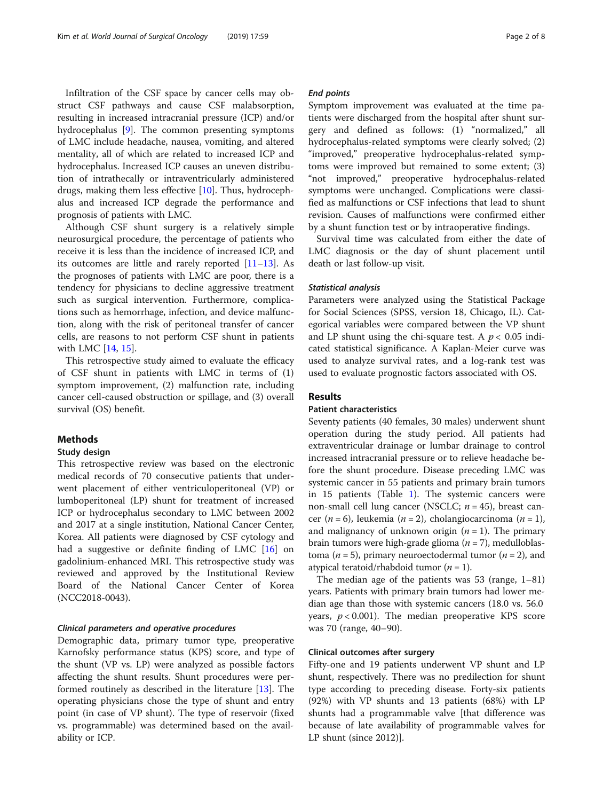Infiltration of the CSF space by cancer cells may obstruct CSF pathways and cause CSF malabsorption, resulting in increased intracranial pressure (ICP) and/or hydrocephalus [[9\]](#page-6-0). The common presenting symptoms of LMC include headache, nausea, vomiting, and altered mentality, all of which are related to increased ICP and hydrocephalus. Increased ICP causes an uneven distribution of intrathecally or intraventricularly administered drugs, making them less effective [[10](#page-6-0)]. Thus, hydrocephalus and increased ICP degrade the performance and prognosis of patients with LMC.

Although CSF shunt surgery is a relatively simple neurosurgical procedure, the percentage of patients who receive it is less than the incidence of increased ICP, and its outcomes are little and rarely reported [\[11](#page-6-0)–[13\]](#page-6-0). As the prognoses of patients with LMC are poor, there is a tendency for physicians to decline aggressive treatment such as surgical intervention. Furthermore, complications such as hemorrhage, infection, and device malfunction, along with the risk of peritoneal transfer of cancer cells, are reasons to not perform CSF shunt in patients with LMC [[14,](#page-6-0) [15\]](#page-6-0).

This retrospective study aimed to evaluate the efficacy of CSF shunt in patients with LMC in terms of (1) symptom improvement, (2) malfunction rate, including cancer cell-caused obstruction or spillage, and (3) overall survival (OS) benefit.

# Methods

#### Study design

This retrospective review was based on the electronic medical records of 70 consecutive patients that underwent placement of either ventriculoperitoneal (VP) or lumboperitoneal (LP) shunt for treatment of increased ICP or hydrocephalus secondary to LMC between 2002 and 2017 at a single institution, National Cancer Center, Korea. All patients were diagnosed by CSF cytology and had a suggestive or definite finding of LMC [[16](#page-6-0)] on gadolinium-enhanced MRI. This retrospective study was reviewed and approved by the Institutional Review Board of the National Cancer Center of Korea (NCC2018-0043).

#### Clinical parameters and operative procedures

Demographic data, primary tumor type, preoperative Karnofsky performance status (KPS) score, and type of the shunt (VP vs. LP) were analyzed as possible factors affecting the shunt results. Shunt procedures were performed routinely as described in the literature [[13\]](#page-6-0). The operating physicians chose the type of shunt and entry point (in case of VP shunt). The type of reservoir (fixed vs. programmable) was determined based on the availability or ICP.

# End points

Symptom improvement was evaluated at the time patients were discharged from the hospital after shunt surgery and defined as follows: (1) "normalized," all hydrocephalus-related symptoms were clearly solved; (2) "improved," preoperative hydrocephalus-related symptoms were improved but remained to some extent; (3) "not improved," preoperative hydrocephalus-related symptoms were unchanged. Complications were classified as malfunctions or CSF infections that lead to shunt revision. Causes of malfunctions were confirmed either by a shunt function test or by intraoperative findings.

Survival time was calculated from either the date of LMC diagnosis or the day of shunt placement until death or last follow-up visit.

#### Statistical analysis

Parameters were analyzed using the Statistical Package for Social Sciences (SPSS, version 18, Chicago, IL). Categorical variables were compared between the VP shunt and LP shunt using the chi-square test. A  $p < 0.05$  indicated statistical significance. A Kaplan-Meier curve was used to analyze survival rates, and a log-rank test was used to evaluate prognostic factors associated with OS.

# Results

# Patient characteristics

Seventy patients (40 females, 30 males) underwent shunt operation during the study period. All patients had extraventricular drainage or lumbar drainage to control increased intracranial pressure or to relieve headache before the shunt procedure. Disease preceding LMC was systemic cancer in 55 patients and primary brain tumors in 15 patients (Table [1\)](#page-2-0). The systemic cancers were non-small cell lung cancer (NSCLC;  $n = 45$ ), breast cancer (*n* = 6), leukemia (*n* = 2), cholangiocarcinoma (*n* = 1), and malignancy of unknown origin  $(n = 1)$ . The primary brain tumors were high-grade glioma ( $n = 7$ ), medulloblastoma ( $n = 5$ ), primary neuroectodermal tumor ( $n = 2$ ), and atypical teratoid/rhabdoid tumor  $(n = 1)$ .

The median age of the patients was 53 (range, 1–81) years. Patients with primary brain tumors had lower median age than those with systemic cancers (18.0 vs. 56.0 years,  $p < 0.001$ ). The median preoperative KPS score was 70 (range, 40–90).

### Clinical outcomes after surgery

Fifty-one and 19 patients underwent VP shunt and LP shunt, respectively. There was no predilection for shunt type according to preceding disease. Forty-six patients (92%) with VP shunts and 13 patients (68%) with LP shunts had a programmable valve [that difference was because of late availability of programmable valves for LP shunt (since 2012)].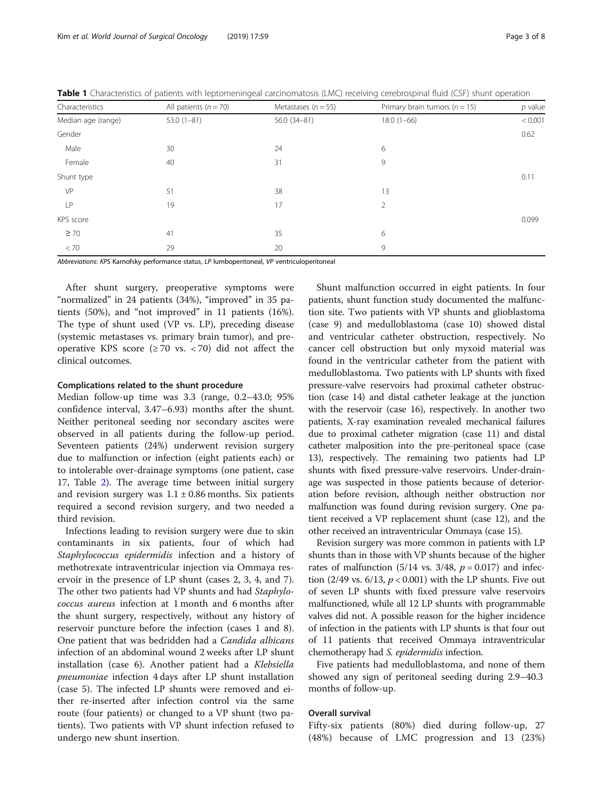| Characteristics    | All patients ( $n = 70$ )                                                                                                                                                                                                      | Metastases ( $n = 55$ ) | Primary brain tumors ( $n = 15$ ) | $p$ value |
|--------------------|--------------------------------------------------------------------------------------------------------------------------------------------------------------------------------------------------------------------------------|-------------------------|-----------------------------------|-----------|
| Median age (range) | $53.0(1-81)$                                                                                                                                                                                                                   | 56.0 (34-81)            | $18.0(1-66)$                      | < 0.001   |
| Gender             |                                                                                                                                                                                                                                |                         |                                   | 0.62      |
| Male               | 30                                                                                                                                                                                                                             | 24                      | 6                                 |           |
| Female             | 40                                                                                                                                                                                                                             | 31                      | 9                                 |           |
| Shunt type         |                                                                                                                                                                                                                                |                         |                                   | 0.11      |
| VP                 | 51                                                                                                                                                                                                                             | 38                      | 13                                |           |
| LP                 | 19                                                                                                                                                                                                                             | 17                      | 2                                 |           |
| KPS score          |                                                                                                                                                                                                                                |                         |                                   | 0.099     |
| $\geq 70$          | 41                                                                                                                                                                                                                             | 35                      | 6                                 |           |
| < 70               | 29                                                                                                                                                                                                                             | 20                      | 9                                 |           |
|                    | $ALL$ . $L$ and $L$ and $L$ and $L$ and $L$ and $L$ and $L$ and $L$ and $L$ and $L$ and $L$ and $L$ and $L$ and $L$ and $L$ and $L$ and $L$ and $L$ and $L$ and $L$ and $L$ and $L$ and $L$ and $L$ and $L$ and $L$ and $L$ an |                         |                                   |           |

<span id="page-2-0"></span>Table 1 Characteristics of patients with leptomeningeal carcinomatosis (LMC) receiving cerebrospinal fluid (CSF) shunt operation

Abbreviations: KPS Karnofsky performance status, LP lumboperitoneal, VP ventriculoperitoneal

After shunt surgery, preoperative symptoms were "normalized" in 24 patients (34%), "improved" in 35 patients (50%), and "not improved" in 11 patients (16%). The type of shunt used (VP vs. LP), preceding disease (systemic metastases vs. primary brain tumor), and preoperative KPS score  $(≥ 70$  vs.  $≤ 70)$  did not affect the clinical outcomes.

#### Complications related to the shunt procedure

Median follow-up time was 3.3 (range, 0.2–43.0; 95% confidence interval, 3.47–6.93) months after the shunt. Neither peritoneal seeding nor secondary ascites were observed in all patients during the follow-up period. Seventeen patients (24%) underwent revision surgery due to malfunction or infection (eight patients each) or to intolerable over-drainage symptoms (one patient, case 17, Table [2\)](#page-3-0). The average time between initial surgery and revision surgery was  $1.1 \pm 0.86$  months. Six patients required a second revision surgery, and two needed a third revision.

Infections leading to revision surgery were due to skin contaminants in six patients, four of which had Staphylococcus epidermidis infection and a history of methotrexate intraventricular injection via Ommaya reservoir in the presence of LP shunt (cases 2, 3, 4, and 7). The other two patients had VP shunts and had Staphylococcus aureus infection at 1 month and 6 months after the shunt surgery, respectively, without any history of reservoir puncture before the infection (cases 1 and 8). One patient that was bedridden had a Candida albicans infection of an abdominal wound 2 weeks after LP shunt installation (case 6). Another patient had a Klebsiella pneumoniae infection 4 days after LP shunt installation (case 5). The infected LP shunts were removed and either re-inserted after infection control via the same route (four patients) or changed to a VP shunt (two patients). Two patients with VP shunt infection refused to undergo new shunt insertion.

Shunt malfunction occurred in eight patients. In four patients, shunt function study documented the malfunction site. Two patients with VP shunts and glioblastoma (case 9) and medulloblastoma (case 10) showed distal and ventricular catheter obstruction, respectively. No cancer cell obstruction but only myxoid material was found in the ventricular catheter from the patient with medulloblastoma. Two patients with LP shunts with fixed pressure-valve reservoirs had proximal catheter obstruction (case 14) and distal catheter leakage at the junction with the reservoir (case 16), respectively. In another two patients, X-ray examination revealed mechanical failures due to proximal catheter migration (case 11) and distal catheter malposition into the pre-peritoneal space (case 13), respectively. The remaining two patients had LP shunts with fixed pressure-valve reservoirs. Under-drainage was suspected in those patients because of deterioration before revision, although neither obstruction nor malfunction was found during revision surgery. One patient received a VP replacement shunt (case 12), and the other received an intraventricular Ommaya (case 15).

Revision surgery was more common in patients with LP shunts than in those with VP shunts because of the higher rates of malfunction (5/14 vs. 3/48,  $p = 0.017$ ) and infection (2/49 vs.  $6/13$ ,  $p < 0.001$ ) with the LP shunts. Five out of seven LP shunts with fixed pressure valve reservoirs malfunctioned, while all 12 LP shunts with programmable valves did not. A possible reason for the higher incidence of infection in the patients with LP shunts is that four out of 11 patients that received Ommaya intraventricular chemotherapy had S. epidermidis infection.

Five patients had medulloblastoma, and none of them showed any sign of peritoneal seeding during 2.9–40.3 months of follow-up.

# Overall survival

Fifty-six patients (80%) died during follow-up, 27 (48%) because of LMC progression and 13 (23%)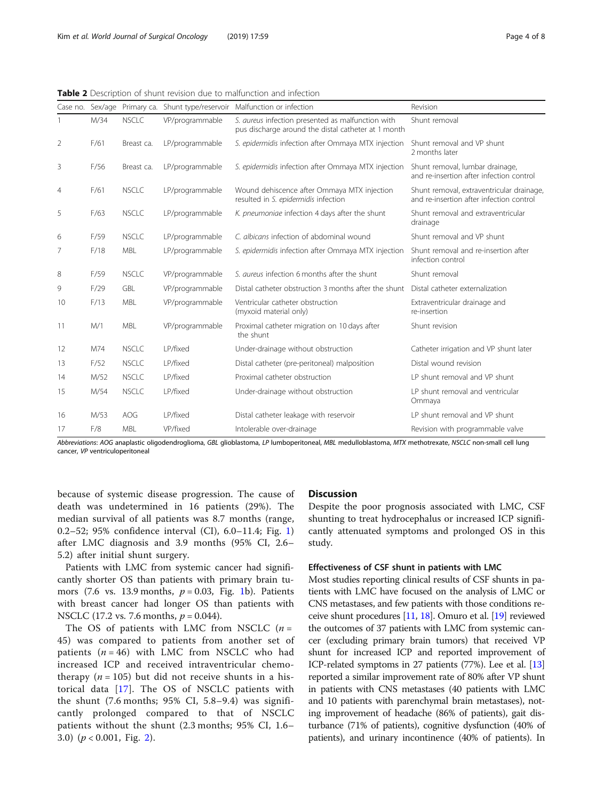|                |      |              |                 | Case no. Sex/age Primary ca. Shunt type/reservoir Malfunction or infection                               | Revision                                                                              |
|----------------|------|--------------|-----------------|----------------------------------------------------------------------------------------------------------|---------------------------------------------------------------------------------------|
|                | M/34 | <b>NSCLC</b> | VP/programmable | S. aureus infection presented as malfunction with<br>pus discharge around the distal catheter at 1 month | Shunt removal                                                                         |
| 2              | F/61 | Breast ca.   | LP/programmable | S. epidermidis infection after Ommaya MTX injection                                                      | Shunt removal and VP shunt<br>2 months later                                          |
| 3              | F/56 | Breast ca.   | LP/programmable | S. epidermidis infection after Ommaya MTX injection                                                      | Shunt removal, lumbar drainage,<br>and re-insertion after infection control           |
| $\overline{4}$ | F/61 | <b>NSCLC</b> | LP/programmable | Wound dehiscence after Ommaya MTX injection<br>resulted in S. epidermidis infection                      | Shunt removal, extraventricular drainage,<br>and re-insertion after infection control |
| 5              | F/63 | <b>NSCLC</b> | LP/programmable | K. pneumoniae infection 4 days after the shunt                                                           | Shunt removal and extraventricular<br>drainage                                        |
| 6              | F/59 | <b>NSCLC</b> | LP/programmable | C. albicans infection of abdominal wound                                                                 | Shunt removal and VP shunt                                                            |
| 7              | F/18 | <b>MBL</b>   | LP/programmable | S. epidermidis infection after Ommaya MTX injection                                                      | Shunt removal and re-insertion after<br>infection control                             |
| 8              | F/59 | <b>NSCLC</b> | VP/programmable | S. aureus infection 6 months after the shunt                                                             | Shunt removal                                                                         |
| 9              | F/29 | <b>GBL</b>   | VP/programmable | Distal catheter obstruction 3 months after the shunt                                                     | Distal catheter externalization                                                       |
| 10             | F/13 | <b>MBL</b>   | VP/programmable | Ventricular catheter obstruction<br>(myxoid material only)                                               | Extraventricular drainage and<br>re-insertion                                         |
| 11             | M/1  | <b>MBL</b>   | VP/programmable | Proximal catheter migration on 10 days after<br>the shunt                                                | Shunt revision                                                                        |
| 12             | M74  | <b>NSCLC</b> | LP/fixed        | Under-drainage without obstruction                                                                       | Catheter irrigation and VP shunt later                                                |
| 13             | F/52 | <b>NSCLC</b> | LP/fixed        | Distal catheter (pre-peritoneal) malposition                                                             | Distal wound revision                                                                 |
| 14             | M/52 | <b>NSCLC</b> | LP/fixed        | Proximal catheter obstruction                                                                            | LP shunt removal and VP shunt                                                         |
| 15             | M/54 | <b>NSCLC</b> | LP/fixed        | Under-drainage without obstruction                                                                       | LP shunt removal and ventricular<br>Ommaya                                            |
| 16             | M/53 | AOG          | LP/fixed        | Distal catheter leakage with reservoir                                                                   | LP shunt removal and VP shunt                                                         |
| 17             | F/8  | <b>MBL</b>   | VP/fixed        | Intolerable over-drainage                                                                                | Revision with programmable valve                                                      |

<span id="page-3-0"></span>Table 2 Description of shunt revision due to malfunction and infection

Abbreviations: AOG anaplastic oligodendroglioma, GBL glioblastoma, LP lumboperitoneal, MBL medulloblastoma, MTX methotrexate, NSCLC non-small cell lung cancer, VP ventriculoperitoneal

because of systemic disease progression. The cause of death was undetermined in 16 patients (29%). The median survival of all patients was 8.7 months (range, 0.2–52; 95% confidence interval (CI), 6.0–11.4; Fig. [1](#page-4-0)) after LMC diagnosis and 3.9 months (95% CI, 2.6– 5.2) after initial shunt surgery.

Patients with LMC from systemic cancer had significantly shorter OS than patients with primary brain tumors (7.6 vs. 13.9 months,  $p = 0.03$ , Fig. [1b](#page-4-0)). Patients with breast cancer had longer OS than patients with NSCLC (17.2 vs. 7.6 months,  $p = 0.044$ ).

The OS of patients with LMC from NSCLC  $(n =$ 45) was compared to patients from another set of patients  $(n = 46)$  with LMC from NSCLC who had increased ICP and received intraventricular chemotherapy ( $n = 105$ ) but did not receive shunts in a historical data [[17](#page-6-0)]. The OS of NSCLC patients with the shunt (7.6 months; 95% CI, 5.8–9.4) was significantly prolonged compared to that of NSCLC patients without the shunt (2.3 months; 95% CI, 1.6– 3.0)  $(p < 0.001,$  Fig. [2\)](#page-4-0).

# **Discussion**

Despite the poor prognosis associated with LMC, CSF shunting to treat hydrocephalus or increased ICP significantly attenuated symptoms and prolonged OS in this study.

# Effectiveness of CSF shunt in patients with LMC

Most studies reporting clinical results of CSF shunts in patients with LMC have focused on the analysis of LMC or CNS metastases, and few patients with those conditions receive shunt procedures [\[11,](#page-6-0) [18\]](#page-6-0). Omuro et al. [\[19\]](#page-6-0) reviewed the outcomes of 37 patients with LMC from systemic cancer (excluding primary brain tumors) that received VP shunt for increased ICP and reported improvement of ICP-related symptoms in 27 patients (77%). Lee et al. [\[13](#page-6-0)] reported a similar improvement rate of 80% after VP shunt in patients with CNS metastases (40 patients with LMC and 10 patients with parenchymal brain metastases), noting improvement of headache (86% of patients), gait disturbance (71% of patients), cognitive dysfunction (40% of patients), and urinary incontinence (40% of patients). In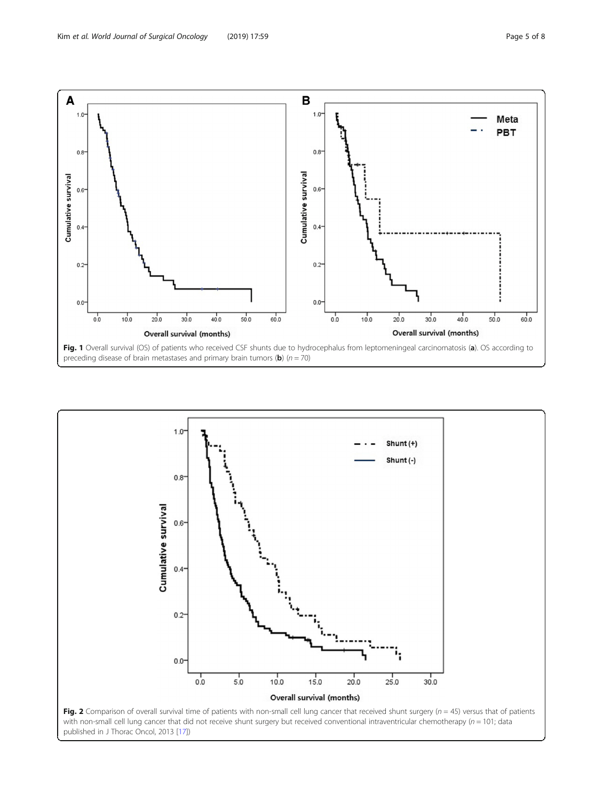<span id="page-4-0"></span>

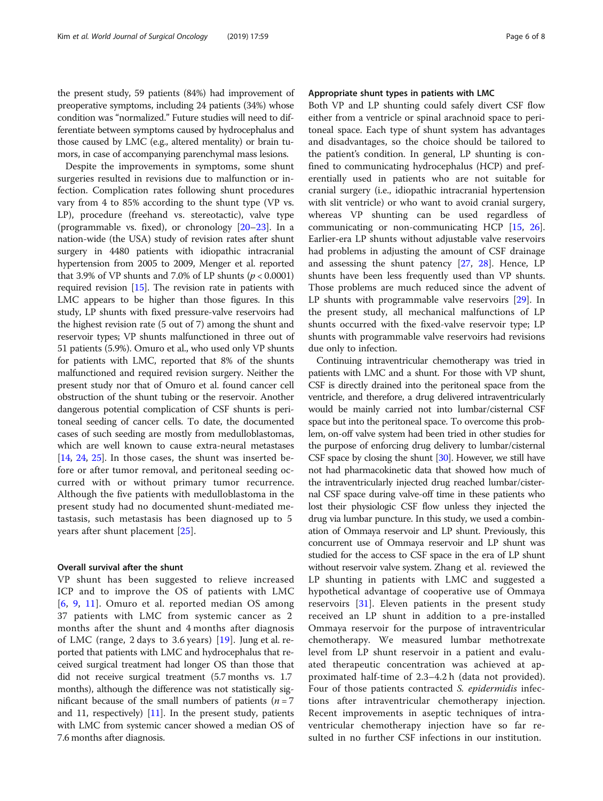the present study, 59 patients (84%) had improvement of preoperative symptoms, including 24 patients (34%) whose condition was "normalized." Future studies will need to differentiate between symptoms caused by hydrocephalus and those caused by LMC (e.g., altered mentality) or brain tumors, in case of accompanying parenchymal mass lesions.

Despite the improvements in symptoms, some shunt surgeries resulted in revisions due to malfunction or infection. Complication rates following shunt procedures vary from 4 to 85% according to the shunt type (VP vs. LP), procedure (freehand vs. stereotactic), valve type (programmable vs. fixed), or chronology [\[20](#page-6-0)–[23\]](#page-6-0). In a nation-wide (the USA) study of revision rates after shunt surgery in 4480 patients with idiopathic intracranial hypertension from 2005 to 2009, Menger et al. reported that 3.9% of VP shunts and 7.0% of LP shunts ( $p < 0.0001$ ) required revision [[15](#page-6-0)]. The revision rate in patients with LMC appears to be higher than those figures. In this study, LP shunts with fixed pressure-valve reservoirs had the highest revision rate (5 out of 7) among the shunt and reservoir types; VP shunts malfunctioned in three out of 51 patients (5.9%). Omuro et al., who used only VP shunts for patients with LMC, reported that 8% of the shunts malfunctioned and required revision surgery. Neither the present study nor that of Omuro et al. found cancer cell obstruction of the shunt tubing or the reservoir. Another dangerous potential complication of CSF shunts is peritoneal seeding of cancer cells. To date, the documented cases of such seeding are mostly from medulloblastomas, which are well known to cause extra-neural metastases [[14](#page-6-0), [24,](#page-6-0) [25](#page-6-0)]. In those cases, the shunt was inserted before or after tumor removal, and peritoneal seeding occurred with or without primary tumor recurrence. Although the five patients with medulloblastoma in the present study had no documented shunt-mediated metastasis, such metastasis has been diagnosed up to 5 years after shunt placement [\[25](#page-6-0)].

# Overall survival after the shunt

VP shunt has been suggested to relieve increased ICP and to improve the OS of patients with LMC [[6](#page-6-0), [9](#page-6-0), [11](#page-6-0)]. Omuro et al. reported median OS among 37 patients with LMC from systemic cancer as 2 months after the shunt and 4 months after diagnosis of LMC (range, 2 days to 3.6 years) [[19](#page-6-0)]. Jung et al. reported that patients with LMC and hydrocephalus that received surgical treatment had longer OS than those that did not receive surgical treatment (5.7 months vs. 1.7 months), although the difference was not statistically significant because of the small numbers of patients ( $n = 7$ and [11](#page-6-0), respectively)  $[11]$ . In the present study, patients with LMC from systemic cancer showed a median OS of 7.6 months after diagnosis.

# Appropriate shunt types in patients with LMC

Both VP and LP shunting could safely divert CSF flow either from a ventricle or spinal arachnoid space to peritoneal space. Each type of shunt system has advantages and disadvantages, so the choice should be tailored to the patient's condition. In general, LP shunting is confined to communicating hydrocephalus (HCP) and preferentially used in patients who are not suitable for cranial surgery (i.e., idiopathic intracranial hypertension with slit ventricle) or who want to avoid cranial surgery, whereas VP shunting can be used regardless of communicating or non-communicating HCP [[15,](#page-6-0) [26](#page-6-0)]. Earlier-era LP shunts without adjustable valve reservoirs had problems in adjusting the amount of CSF drainage and assessing the shunt patency [\[27,](#page-6-0) [28\]](#page-7-0). Hence, LP shunts have been less frequently used than VP shunts. Those problems are much reduced since the advent of LP shunts with programmable valve reservoirs [\[29](#page-7-0)]. In the present study, all mechanical malfunctions of LP shunts occurred with the fixed-valve reservoir type; LP shunts with programmable valve reservoirs had revisions due only to infection.

Continuing intraventricular chemotherapy was tried in patients with LMC and a shunt. For those with VP shunt, CSF is directly drained into the peritoneal space from the ventricle, and therefore, a drug delivered intraventricularly would be mainly carried not into lumbar/cisternal CSF space but into the peritoneal space. To overcome this problem, on-off valve system had been tried in other studies for the purpose of enforcing drug delivery to lumbar/cisternal CSF space by closing the shunt [\[30\]](#page-7-0). However, we still have not had pharmacokinetic data that showed how much of the intraventricularly injected drug reached lumbar/cisternal CSF space during valve-off time in these patients who lost their physiologic CSF flow unless they injected the drug via lumbar puncture. In this study, we used a combination of Ommaya reservoir and LP shunt. Previously, this concurrent use of Ommaya reservoir and LP shunt was studied for the access to CSF space in the era of LP shunt without reservoir valve system. Zhang et al. reviewed the LP shunting in patients with LMC and suggested a hypothetical advantage of cooperative use of Ommaya reservoirs [\[31](#page-7-0)]. Eleven patients in the present study received an LP shunt in addition to a pre-installed Ommaya reservoir for the purpose of intraventricular chemotherapy. We measured lumbar methotrexate level from LP shunt reservoir in a patient and evaluated therapeutic concentration was achieved at approximated half-time of 2.3–4.2 h (data not provided). Four of those patients contracted S. epidermidis infections after intraventricular chemotherapy injection. Recent improvements in aseptic techniques of intraventricular chemotherapy injection have so far resulted in no further CSF infections in our institution.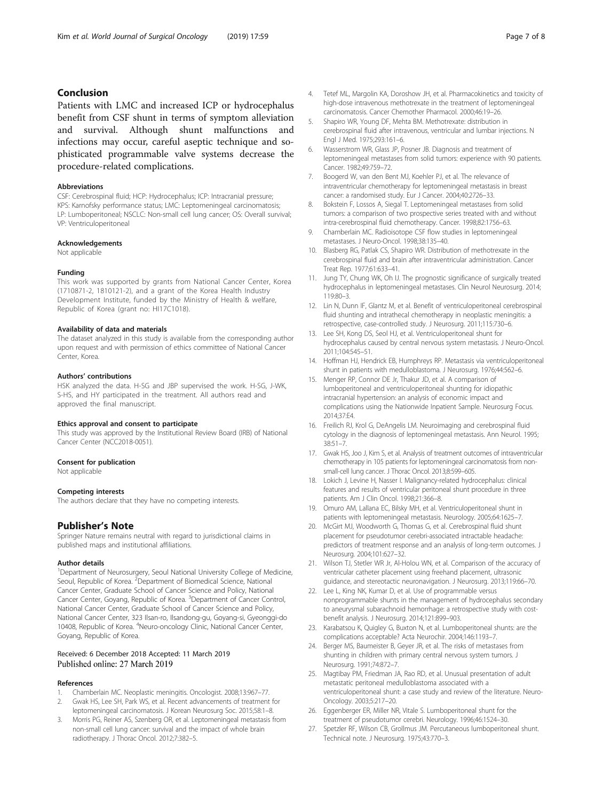# <span id="page-6-0"></span>Conclusion

Patients with LMC and increased ICP or hydrocephalus benefit from CSF shunt in terms of symptom alleviation and survival. Although shunt malfunctions and infections may occur, careful aseptic technique and sophisticated programmable valve systems decrease the procedure-related complications.

#### Abbreviations

CSF: Cerebrospinal fluid; HCP: Hydrocephalus; ICP: Intracranial pressure; KPS: Karnofsky performance status; LMC: Leptomeningeal carcinomatosis; LP: Lumboperitoneal; NSCLC: Non-small cell lung cancer; OS: Overall survival; VP: Ventriculoperitoneal

# Acknowledgements

Not applicable

#### Funding

This work was supported by grants from National Cancer Center, Korea (1710871-2, 1810121-2), and a grant of the Korea Health Industry Development Institute, funded by the Ministry of Health & welfare, Republic of Korea (grant no: HI17C1018).

#### Availability of data and materials

The dataset analyzed in this study is available from the corresponding author upon request and with permission of ethics committee of National Cancer Center, Korea.

#### Authors' contributions

HSK analyzed the data. H-SG and JBP supervised the work. H-SG, J-WK, S-HS, and HY participated in the treatment. All authors read and approved the final manuscript.

#### Ethics approval and consent to participate

This study was approved by the Institutional Review Board (IRB) of National Cancer Center (NCC2018-0051).

#### Consent for publication

Not applicable

#### Competing interests

The authors declare that they have no competing interests.

# Publisher's Note

Springer Nature remains neutral with regard to jurisdictional claims in published maps and institutional affiliations.

#### Author details

<sup>1</sup>Department of Neurosurgery, Seoul National University College of Medicine, Seoul, Republic of Korea. <sup>2</sup>Department of Biomedical Science, National Cancer Center, Graduate School of Cancer Science and Policy, National Cancer Center, Goyang, Republic of Korea. <sup>3</sup>Department of Cancer Control, National Cancer Center, Graduate School of Cancer Science and Policy, National Cancer Center, 323 Ilsan-ro, Ilsandong-gu, Goyang-si, Gyeonggi-do 10408, Republic of Korea. <sup>4</sup>Neuro-oncology Clinic, National Cancer Center, Goyang, Republic of Korea.

# Received: 6 December 2018 Accepted: 11 March 2019

#### References

- 1. Chamberlain MC. Neoplastic meningitis. Oncologist. 2008;13:967–77.
- 2. Gwak HS, Lee SH, Park WS, et al. Recent advancements of treatment for leptomeningeal carcinomatosis. J Korean Neurosurg Soc. 2015;58:1–8.
- 3. Morris PG, Reiner AS, Szenberg OR, et al. Leptomeningeal metastasis from non-small cell lung cancer: survival and the impact of whole brain radiotherapy. J Thorac Oncol. 2012;7:382–5.
- 4. Tetef ML, Margolin KA, Doroshow JH, et al. Pharmacokinetics and toxicity of high-dose intravenous methotrexate in the treatment of leptomeningeal carcinomatosis. Cancer Chemother Pharmacol. 2000;46:19–26.
- 5. Shapiro WR, Young DF, Mehta BM. Methotrexate: distribution in cerebrospinal fluid after intravenous, ventricular and lumbar injections. N Engl J Med. 1975;293:161–6.
- 6. Wasserstrom WR, Glass JP, Posner JB. Diagnosis and treatment of leptomeningeal metastases from solid tumors: experience with 90 patients. Cancer. 1982;49:759–72.
- 7. Boogerd W, van den Bent MJ, Koehler PJ, et al. The relevance of intraventricular chemotherapy for leptomeningeal metastasis in breast cancer: a randomised study. Eur J Cancer. 2004;40:2726–33.
- 8. Bokstein F, Lossos A, Siegal T. Leptomeningeal metastases from solid tumors: a comparison of two prospective series treated with and without intra-cerebrospinal fluid chemotherapy. Cancer. 1998;82:1756–63.
- 9. Chamberlain MC. Radioisotope CSF flow studies in leptomeningeal metastases. J Neuro-Oncol. 1998;38:135–40.
- 10. Blasberg RG, Patlak CS, Shapiro WR. Distribution of methotrexate in the cerebrospinal fluid and brain after intraventricular administration. Cancer Treat Rep. 1977;61:633–41.
- 11. Jung TY, Chung WK, Oh IJ. The prognostic significance of surgically treated hydrocephalus in leptomeningeal metastases. Clin Neurol Neurosurg. 2014; 119:80–3.
- 12. Lin N, Dunn IF, Glantz M, et al. Benefit of ventriculoperitoneal cerebrospinal fluid shunting and intrathecal chemotherapy in neoplastic meningitis: a retrospective, case-controlled study. J Neurosurg. 2011;115:730–6.
- 13. Lee SH, Kong DS, Seol HJ, et al. Ventriculoperitoneal shunt for hydrocephalus caused by central nervous system metastasis. J Neuro-Oncol. 2011;104:545–51.
- 14. Hoffman HJ, Hendrick EB, Humphreys RP. Metastasis via ventriculoperitoneal shunt in patients with medulloblastoma. J Neurosurg. 1976;44:562–6.
- 15. Menger RP, Connor DE Jr, Thakur JD, et al. A comparison of lumboperitoneal and ventriculoperitoneal shunting for idiopathic intracranial hypertension: an analysis of economic impact and complications using the Nationwide Inpatient Sample. Neurosurg Focus. 2014;37:E4.
- 16. Freilich RJ, Krol G, DeAngelis LM. Neuroimaging and cerebrospinal fluid cytology in the diagnosis of leptomeningeal metastasis. Ann Neurol. 1995; 38:51–7.
- 17. Gwak HS, Joo J, Kim S, et al. Analysis of treatment outcomes of intraventricular chemotherapy in 105 patients for leptomeningeal carcinomatosis from nonsmall-cell lung cancer. J Thorac Oncol. 2013;8:599–605.
- 18. Lokich J, Levine H, Nasser I. Malignancy-related hydrocephalus: clinical features and results of ventricular peritoneal shunt procedure in three patients. Am J Clin Oncol. 1998;21:366–8.
- 19. Omuro AM, Lallana EC, Bilsky MH, et al. Ventriculoperitoneal shunt in patients with leptomeningeal metastasis. Neurology. 2005;64:1625–7.
- 20. McGirt MJ, Woodworth G, Thomas G, et al. Cerebrospinal fluid shunt placement for pseudotumor cerebri-associated intractable headache: predictors of treatment response and an analysis of long-term outcomes. J Neurosurg. 2004;101:627–32.
- 21. Wilson TJ, Stetler WR Jr, Al-Holou WN, et al. Comparison of the accuracy of ventricular catheter placement using freehand placement, ultrasonic guidance, and stereotactic neuronavigation. J Neurosurg. 2013;119:66–70.
- 22. Lee L, King NK, Kumar D, et al. Use of programmable versus nonprogrammable shunts in the management of hydrocephalus secondary to aneurysmal subarachnoid hemorrhage: a retrospective study with costbenefit analysis. J Neurosurg. 2014;121:899–903.
- 23. Karabatsou K, Quigley G, Buxton N, et al. Lumboperitoneal shunts: are the complications acceptable? Acta Neurochir. 2004;146:1193–7.
- 24. Berger MS, Baumeister B, Geyer JR, et al. The risks of metastases from shunting in children with primary central nervous system tumors. J Neurosurg. 1991;74:872–7.
- 25. Magtibay PM, Friedman JA, Rao RD, et al. Unusual presentation of adult metastatic peritoneal medulloblastoma associated with a ventriculoperitoneal shunt: a case study and review of the literature. Neuro-Oncology. 2003;5:217–20.
- 26. Eggenberger ER, Miller NR, Vitale S. Lumboperitoneal shunt for the treatment of pseudotumor cerebri. Neurology. 1996;46:1524–30.
- 27. Spetzler RF, Wilson CB, Grollmus JM. Percutaneous lumboperitoneal shunt. Technical note. J Neurosurg. 1975;43:770–3.